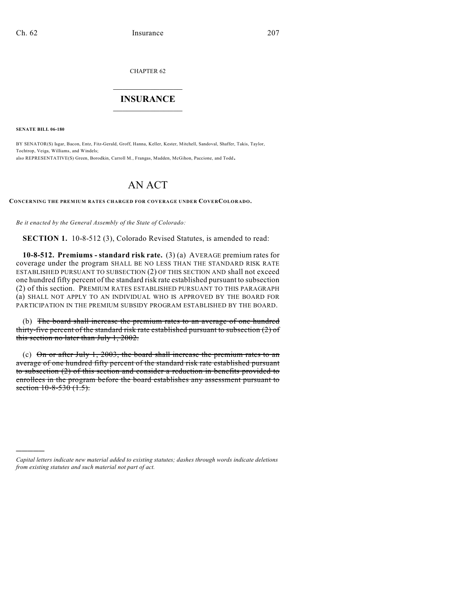CHAPTER 62

## $\overline{\phantom{a}}$  . The set of the set of the set of the set of the set of the set of the set of the set of the set of the set of the set of the set of the set of the set of the set of the set of the set of the set of the set o **INSURANCE**  $\frac{1}{2}$  ,  $\frac{1}{2}$  ,  $\frac{1}{2}$  ,  $\frac{1}{2}$  ,  $\frac{1}{2}$  ,  $\frac{1}{2}$  ,  $\frac{1}{2}$

**SENATE BILL 06-180**

)))))

BY SENATOR(S) Isgar, Bacon, Entz, Fitz-Gerald, Groff, Hanna, Keller, Kester, Mitchell, Sandoval, Shaffer, Takis, Taylor, Tochtrop, Veiga, Williams, and Windels; also REPRESENTATIVE(S) Green, Borodkin, Carroll M., Frangas, Madden, McGihon, Paccione, and Todd.

## AN ACT

**CONCERNING THE PREMIUM RATES CHARGED FOR COVERAGE UNDER COVERCOLORADO.**

*Be it enacted by the General Assembly of the State of Colorado:*

**SECTION 1.** 10-8-512 (3), Colorado Revised Statutes, is amended to read:

**10-8-512. Premiums - standard risk rate.** (3) (a) AVERAGE premium rates for coverage under the program SHALL BE NO LESS THAN THE STANDARD RISK RATE ESTABLISHED PURSUANT TO SUBSECTION (2) OF THIS SECTION AND shall not exceed one hundred fifty percent of the standard risk rate established pursuant to subsection (2) of this section. PREMIUM RATES ESTABLISHED PURSUANT TO THIS PARAGRAPH (a) SHALL NOT APPLY TO AN INDIVIDUAL WHO IS APPROVED BY THE BOARD FOR PARTICIPATION IN THE PREMIUM SUBSIDY PROGRAM ESTABLISHED BY THE BOARD.

(b) The board shall increase the premium rates to an average of one hundred thirty-five percent of the standard risk rate established pursuant to subsection (2) of this section no later than July 1, 2002.

(c) On or after July 1, 2003, the board shall increase the premium rates to an average of one hundred fifty percent of the standard risk rate established pursuant to subsection (2) of this section and consider a reduction in benefits provided to enrollees in the program before the board establishes any assessment pursuant to section 10-8-530 (1.5).

*Capital letters indicate new material added to existing statutes; dashes through words indicate deletions from existing statutes and such material not part of act.*